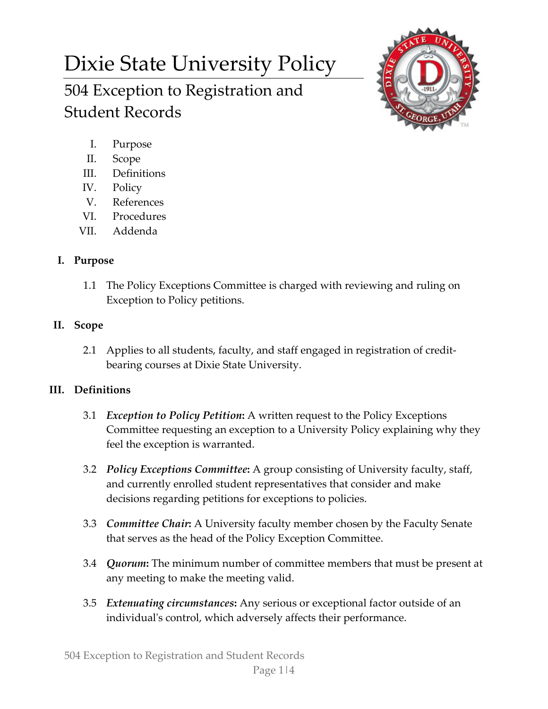# Dixie State University Policy 504 Exception to Registration and



I. Purpose

Student Records

- II. Scope
- III. Definitions
- IV. Policy
- V. References
- VI. Procedures
- VII. Addenda

# **I. Purpose**

1.1 The Policy Exceptions Committee is charged with reviewing and ruling on Exception to Policy petitions.

## **II. Scope**

2.1 Applies to all students, faculty, and staff engaged in registration of creditbearing courses at Dixie State University.

# **III. Definitions**

- 3.1 *Exception to Policy Petition***:** A written request to the Policy Exceptions Committee requesting an exception to a University Policy explaining why they feel the exception is warranted.
- 3.2 *Policy Exceptions Committee***:** A group consisting of University faculty, staff, and currently enrolled student representatives that consider and make decisions regarding petitions for exceptions to policies.
- 3.3 *Committee Chair***:** A University faculty member chosen by the Faculty Senate that serves as the head of the Policy Exception Committee.
- 3.4 *Quorum***:** The minimum number of committee members that must be present at any meeting to make the meeting valid.
- 3.5 *Extenuating circumstances***:** Any serious or exceptional factor outside of an individual's control, which adversely affects their performance.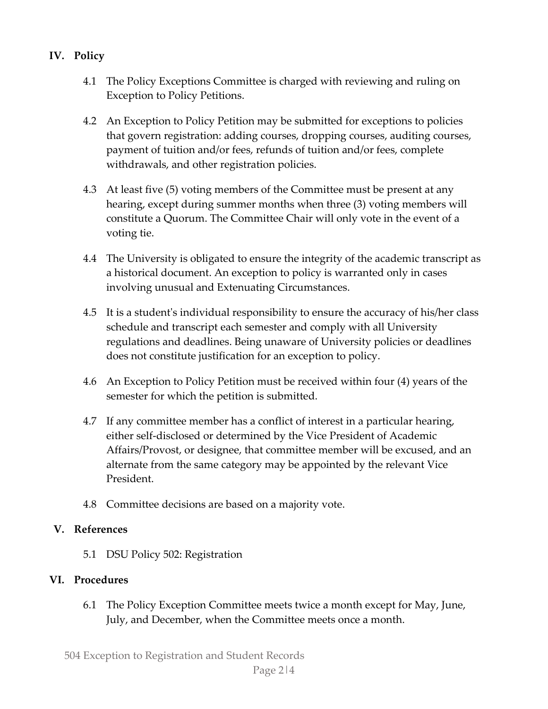- **IV. Policy**
	- 4.1 The Policy Exceptions Committee is charged with reviewing and ruling on Exception to Policy Petitions.
	- 4.2 An Exception to Policy Petition may be submitted for exceptions to policies that govern registration: adding courses, dropping courses, auditing courses, payment of tuition and/or fees, refunds of tuition and/or fees, complete withdrawals, and other registration policies.
	- 4.3 At least five (5) voting members of the Committee must be present at any hearing, except during summer months when three (3) voting members will constitute a Quorum. The Committee Chair will only vote in the event of a voting tie.
	- 4.4 The University is obligated to ensure the integrity of the academic transcript as a historical document. An exception to policy is warranted only in cases involving unusual and Extenuating Circumstances.
	- 4.5 It is a student's individual responsibility to ensure the accuracy of his/her class schedule and transcript each semester and comply with all University regulations and deadlines. Being unaware of University policies or deadlines does not constitute justification for an exception to policy.
	- 4.6 An Exception to Policy Petition must be received within four (4) years of the semester for which the petition is submitted.
	- 4.7 If any committee member has a conflict of interest in a particular hearing, either self-disclosed or determined by the Vice President of Academic Affairs/Provost, or designee, that committee member will be excused, and an alternate from the same category may be appointed by the relevant Vice President.
	- 4.8 Committee decisions are based on a majority vote.

#### **V. References**

5.1 DSU Policy 502: Registration

## **VI. Procedures**

6.1 The Policy Exception Committee meets twice a month except for May, June, July, and December, when the Committee meets once a month.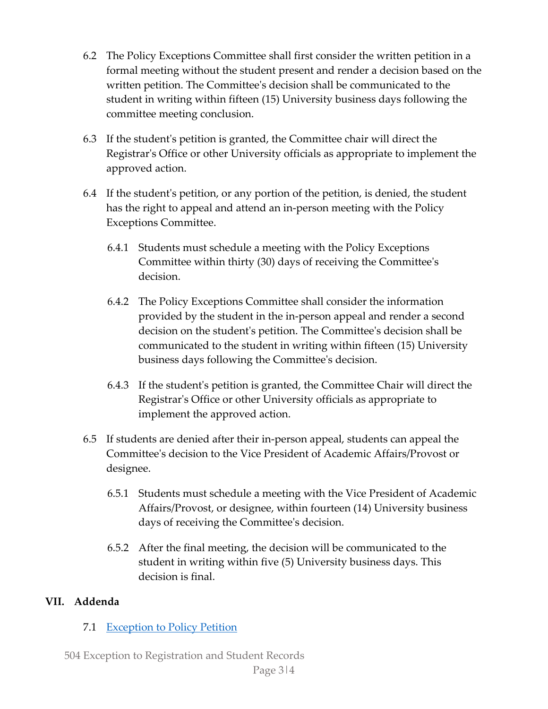- 6.2 The Policy Exceptions Committee shall first consider the written petition in a formal meeting without the student present and render a decision based on the written petition. The Committee's decision shall be communicated to the student in writing within fifteen (15) University business days following the committee meeting conclusion.
- 6.3 If the student's petition is granted, the Committee chair will direct the Registrar's Office or other University officials as appropriate to implement the approved action.
- 6.4 If the student's petition, or any portion of the petition, is denied, the student has the right to appeal and attend an in-person meeting with the Policy Exceptions Committee.
	- 6.4.1 Students must schedule a meeting with the Policy Exceptions Committee within thirty (30) days of receiving the Committee's decision.
	- 6.4.2 The Policy Exceptions Committee shall consider the information provided by the student in the in-person appeal and render a second decision on the student's petition. The Committee's decision shall be communicated to the student in writing within fifteen (15) University business days following the Committee's decision.
	- 6.4.3 If the student's petition is granted, the Committee Chair will direct the Registrar's Office or other University officials as appropriate to implement the approved action.
- 6.5 If students are denied after their in-person appeal, students can appeal the Committee's decision to the Vice President of Academic Affairs/Provost or designee.
	- 6.5.1 Students must schedule a meeting with the Vice President of Academic Affairs/Provost, or designee, within fourteen (14) University business days of receiving the Committee's decision.
	- 6.5.2 After the final meeting, the decision will be communicated to the student in writing within five (5) University business days. This decision is final.

## **VII. Addenda**

#### 7.1 Exception to Policy Petition

504 Exception to Registration and Student Records